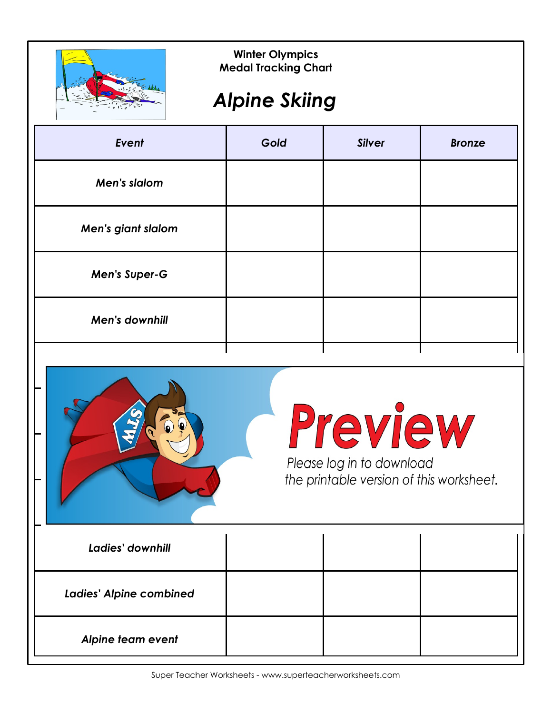

#### *Alpine Skiing*

| Event                 | Gold | <b>Silver</b> | <b>Bronze</b> |
|-----------------------|------|---------------|---------------|
| Men's slalom          |      |               |               |
| Men's giant slalom    |      |               |               |
| <b>Men's Super-G</b>  |      |               |               |
| <b>Men's downhill</b> |      |               |               |
|                       |      |               |               |



### Preview

| Ladies' downhill               |  |  |
|--------------------------------|--|--|
| <b>Ladies' Alpine combined</b> |  |  |
| Alpine team event              |  |  |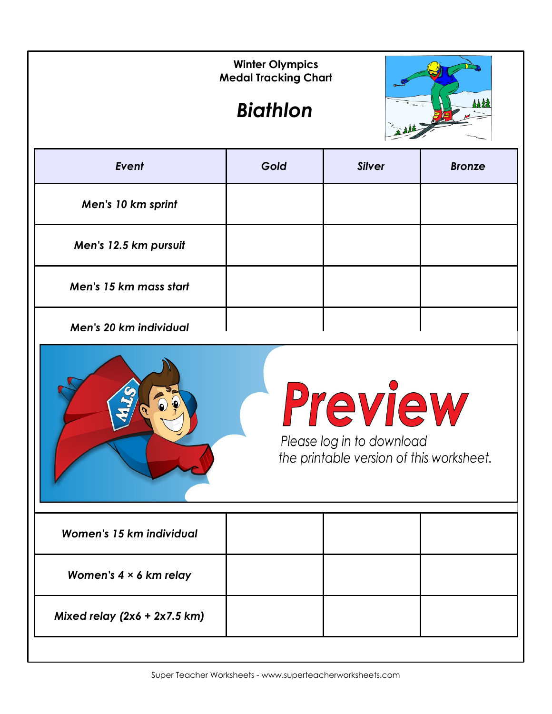|                        | <b>Winter Olympics</b><br><b>Medal Tracking Chart</b><br><b>Biathlon</b> |               |               |
|------------------------|--------------------------------------------------------------------------|---------------|---------------|
| Event                  | Gold                                                                     | <b>Silver</b> | <b>Bronze</b> |
| Men's 10 km sprint     |                                                                          |               |               |
| Men's 12.5 km pursuit  |                                                                          |               |               |
| Men's 15 km mass start |                                                                          |               |               |
| Men's 20 km individual |                                                                          |               |               |



Preview Please log in to download

the printable version of this worksheet.

| Women's 15 km individual       |  |  |
|--------------------------------|--|--|
| Women's $4 \times 6$ km relay  |  |  |
| Mixed relay $(2x6 + 2x7.5 km)$ |  |  |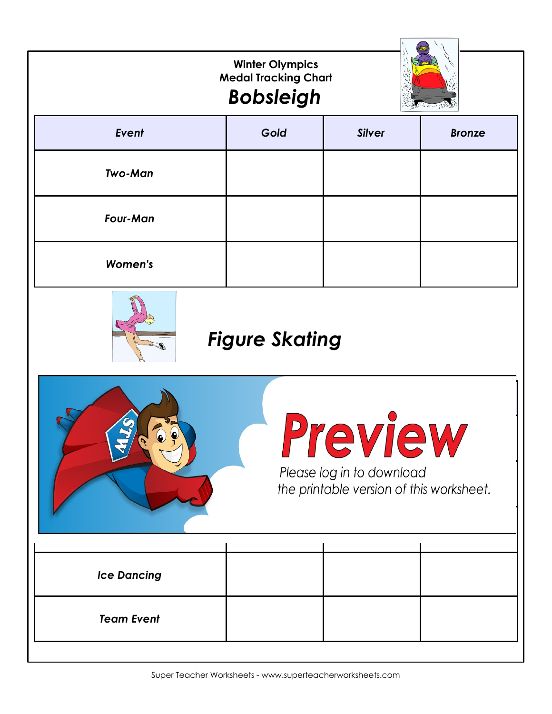|                                                                               | <b>Winter Olympics</b><br><b>Medal Tracking Chart</b><br><b>Bobsleigh</b> |               |               |  |  |
|-------------------------------------------------------------------------------|---------------------------------------------------------------------------|---------------|---------------|--|--|
| Event                                                                         | Gold                                                                      | <b>Silver</b> | <b>Bronze</b> |  |  |
| <b>Two-Man</b>                                                                |                                                                           |               |               |  |  |
| <b>Four-Man</b>                                                               |                                                                           |               |               |  |  |
| <b>Women's</b>                                                                |                                                                           |               |               |  |  |
| <b>Figure Skating</b>                                                         |                                                                           |               |               |  |  |
| VIVI<br>Please log in to download<br>the printable version of this worksheet. |                                                                           |               |               |  |  |
| <b>Ice Dancing</b>                                                            |                                                                           |               |               |  |  |
| <b>Team Event</b>                                                             |                                                                           |               |               |  |  |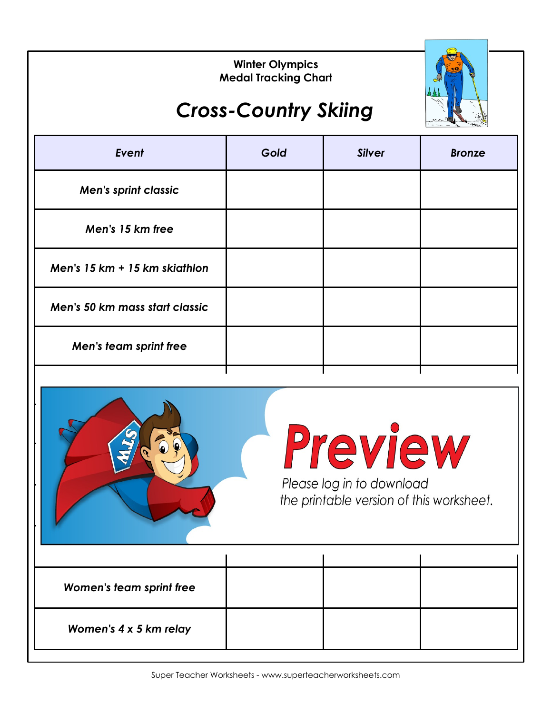

### *Cross-Country Skiing*

| Event                          | Gold | <b>Silver</b> | <b>Bronze</b> |
|--------------------------------|------|---------------|---------------|
| <b>Men's sprint classic</b>    |      |               |               |
| Men's 15 km free               |      |               |               |
| Men's 15 km + 15 km skiathlon  |      |               |               |
| Men's 50 km mass start classic |      |               |               |
| Men's team sprint free         |      |               |               |
|                                |      |               |               |



*Men's 4 x 10 km relay*

# Preview

| Women's team sprint free |  |  |  |
|--------------------------|--|--|--|
| Women's 4 x 5 km relay   |  |  |  |
|                          |  |  |  |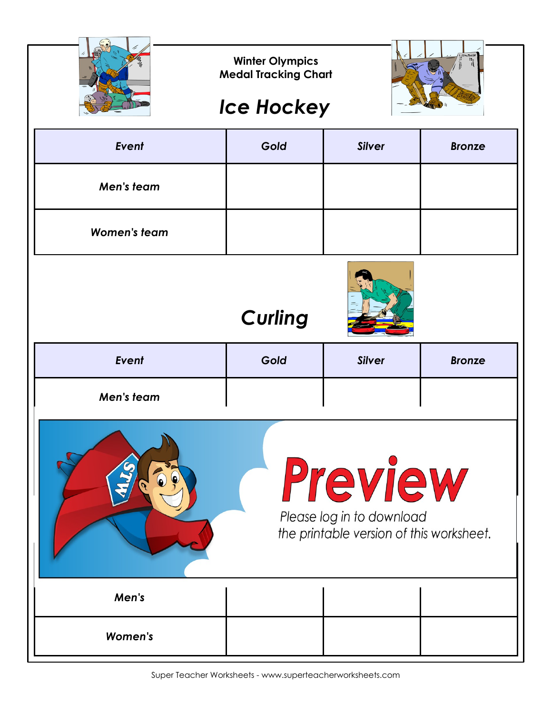|                     | <b>Winter Olympics</b><br><b>Medal Tracking Chart</b>                            |               |               |  |
|---------------------|----------------------------------------------------------------------------------|---------------|---------------|--|
|                     | <b>Ice Hockey</b>                                                                |               |               |  |
| Event               | Gold                                                                             | <b>Silver</b> | <b>Bronze</b> |  |
| Men's team          |                                                                                  |               |               |  |
| <b>Women's team</b> |                                                                                  |               |               |  |
|                     | <b>Curling</b>                                                                   |               |               |  |
| Event               | Gold                                                                             | <b>Silver</b> | <b>Bronze</b> |  |
| Men's team          |                                                                                  |               |               |  |
|                     | Preview<br>Please log in to download<br>the printable version of this worksheet. |               |               |  |
| Men's               |                                                                                  |               |               |  |
|                     |                                                                                  |               |               |  |

Super Teacher Worksheets - www.superteacherworksheets.com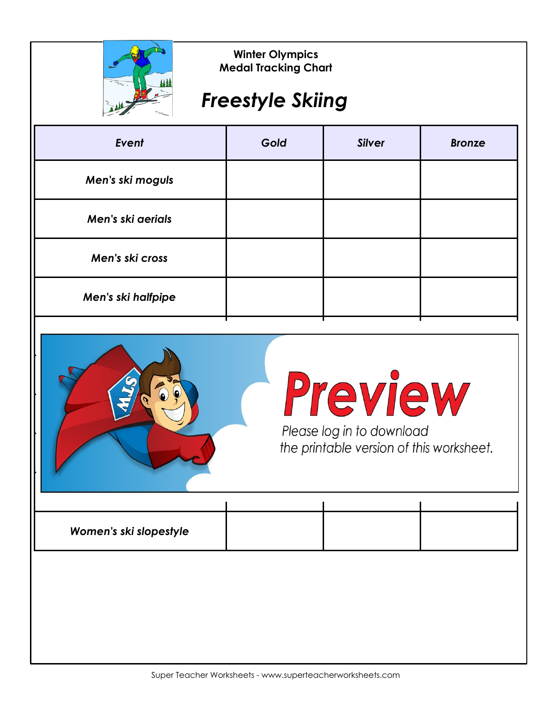

#### *Freestyle Skiing*

| Event              | Gold | <b>Silver</b> | <b>Bronze</b> |
|--------------------|------|---------------|---------------|
| Men's ski moguls   |      |               |               |
| Men's ski aerials  |      |               |               |
| Men's ski cross    |      |               |               |
| Men's ski halfpipe |      |               |               |

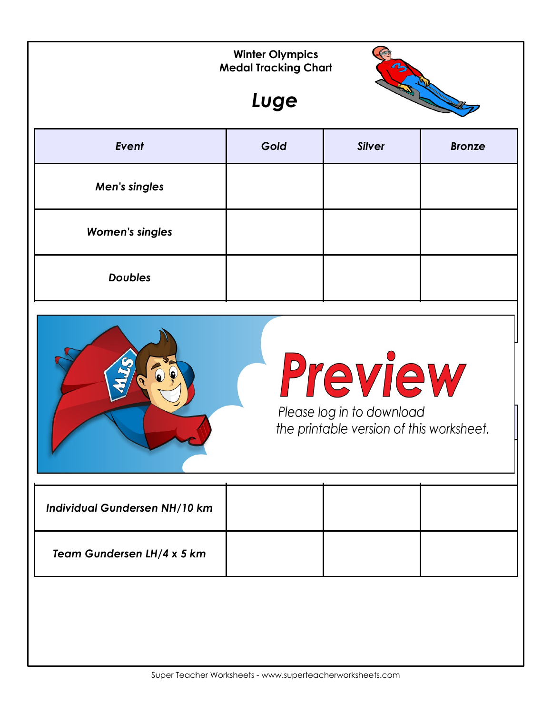|                                                                                  | <b>Winter Olympics</b><br><b>Medal Tracking Chart</b><br>Luge | $\boldsymbol{\eta}$ |               |  |
|----------------------------------------------------------------------------------|---------------------------------------------------------------|---------------------|---------------|--|
| Event                                                                            | Gold                                                          | <b>Silver</b>       | <b>Bronze</b> |  |
| Men's singles                                                                    |                                                               |                     |               |  |
| <b>Women's singles</b>                                                           |                                                               |                     |               |  |
| <b>Doubles</b>                                                                   |                                                               |                     |               |  |
| Preview<br>Please log in to download<br>the printable version of this worksheet. |                                                               |                     |               |  |
| Individual Gundersen NH/10 km                                                    |                                                               |                     |               |  |
| Team Gundersen LH/4 x 5 km                                                       |                                                               |                     |               |  |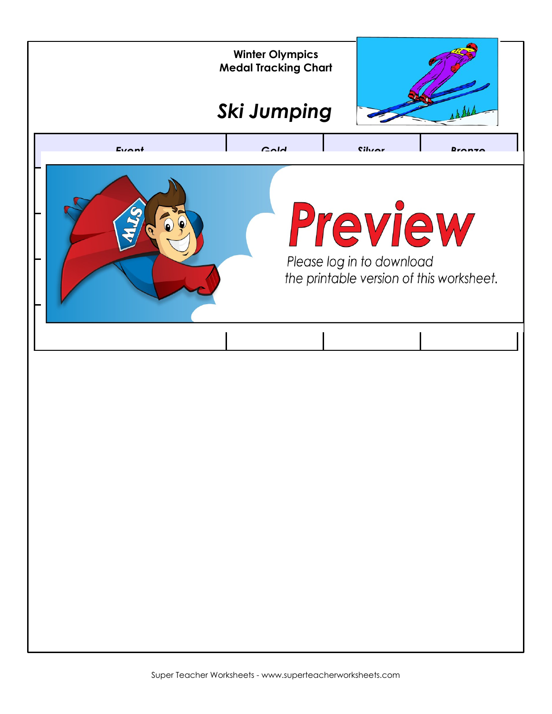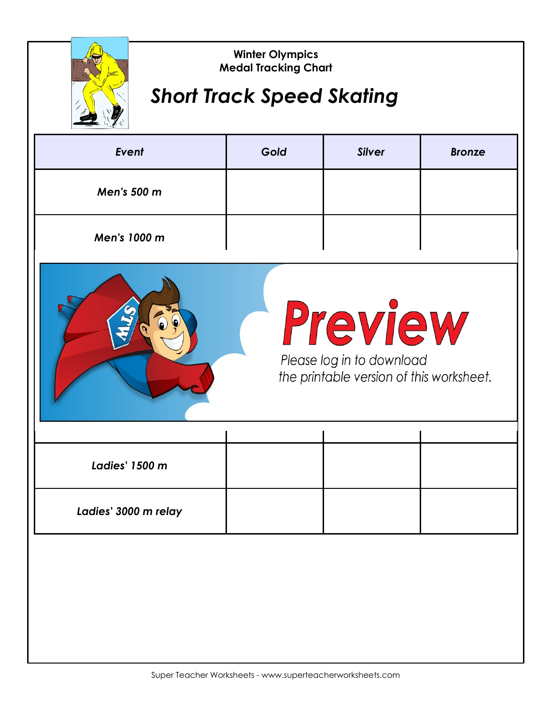

#### *Short Track Speed Skating*

| Event        | Gold | <b>Silver</b> | <b>Bronze</b> |
|--------------|------|---------------|---------------|
| Men's 500 m  |      |               |               |
| Men's 1000 m |      |               |               |



# Preview

| <b>Ladies' 1500 m</b> |  |  |
|-----------------------|--|--|
| Ladies' 3000 m relay  |  |  |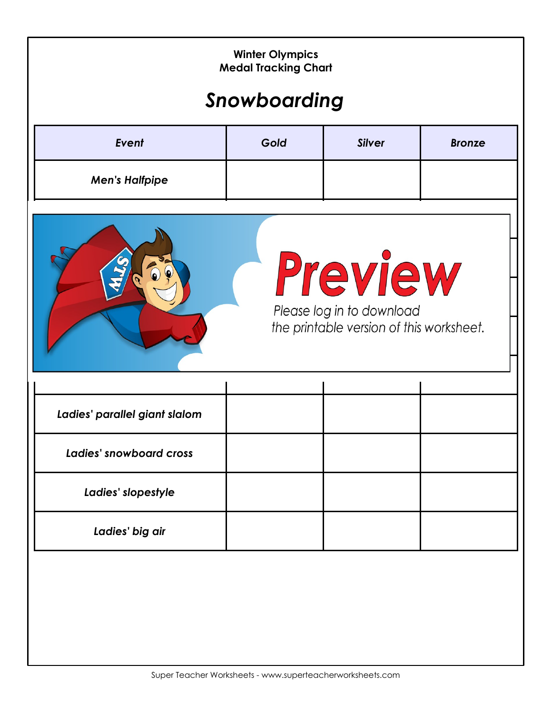| <b>Winter Olympics</b><br><b>Medal Tracking Chart</b><br>Snowboarding            |      |               |               |  |  |  |
|----------------------------------------------------------------------------------|------|---------------|---------------|--|--|--|
| Event                                                                            | Gold | <b>Silver</b> | <b>Bronze</b> |  |  |  |
| <b>Men's Halfpipe</b>                                                            |      |               |               |  |  |  |
| Preview<br>Please log in to download<br>the printable version of this worksheet. |      |               |               |  |  |  |
| Ladies' parallel giant slalom                                                    |      |               |               |  |  |  |
| <b>Ladies' snowboard cross</b>                                                   |      |               |               |  |  |  |
| Ladies' slopestyle                                                               |      |               |               |  |  |  |
| Ladies' big air                                                                  |      |               |               |  |  |  |